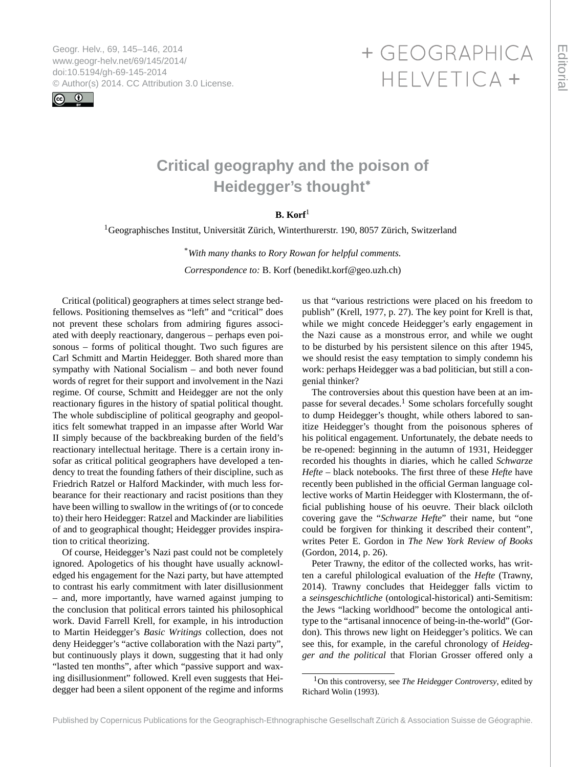<span id="page-0-0"></span>Geogr. Helv., 69, 145–146, 2014 www.geogr-helv.net/69/145/2014/ doi:10.5194/gh-69-145-2014 © Author(s) 2014. CC Attribution 3.0 License.



## + GEOGRAPHICA HELVETICA +

## **Critical geography and the poison of Heidegger's thought<sup>∗</sup>**

## **B. Korf**<sup>1</sup>

<sup>1</sup>Geographisches Institut, Universität Zürich, Winterthurerstr. 190, 8057 Zürich, Switzerland

\**With many thanks to Rory Rowan for helpful comments. Correspondence to:* B. Korf (benedikt.korf@geo.uzh.ch)

Critical (political) geographers at times select strange bedfellows. Positioning themselves as "left" and "critical" does not prevent these scholars from admiring figures associated with deeply reactionary, dangerous – perhaps even poisonous – forms of political thought. Two such figures are Carl Schmitt and Martin Heidegger. Both shared more than sympathy with National Socialism – and both never found words of regret for their support and involvement in the Nazi regime. Of course, Schmitt and Heidegger are not the only reactionary figures in the history of spatial political thought. The whole subdiscipline of political geography and geopolitics felt somewhat trapped in an impasse after World War II simply because of the backbreaking burden of the field's reactionary intellectual heritage. There is a certain irony insofar as critical political geographers have developed a tendency to treat the founding fathers of their discipline, such as Friedrich Ratzel or Halford Mackinder, with much less forbearance for their reactionary and racist positions than they have been willing to swallow in the writings of (or to concede to) their hero Heidegger: Ratzel and Mackinder are liabilities of and to geographical thought; Heidegger provides inspiration to critical theorizing.

Of course, Heidegger's Nazi past could not be completely ignored. Apologetics of his thought have usually acknowledged his engagement for the Nazi party, but have attempted to contrast his early commitment with later disillusionment – and, more importantly, have warned against jumping to the conclusion that political errors tainted his philosophical work. David Farrell Krell, for example, in his introduction to Martin Heidegger's *Basic Writings* collection, does not deny Heidegger's "active collaboration with the Nazi party", but continuously plays it down, suggesting that it had only "lasted ten months", after which "passive support and waxing disillusionment" followed. Krell even suggests that Heidegger had been a silent opponent of the regime and informs

us that "various restrictions were placed on his freedom to publish" (Krell, 1977, p. 27). The key point for Krell is that, while we might concede Heidegger's early engagement in the Nazi cause as a monstrous error, and while we ought to be disturbed by his persistent silence on this after 1945, we should resist the easy temptation to simply condemn his work: perhaps Heidegger was a bad politician, but still a congenial thinker?

The controversies about this question have been at an impasse for several decades.<sup>1</sup> Some scholars forcefully sought to dump Heidegger's thought, while others labored to sanitize Heidegger's thought from the poisonous spheres of his political engagement. Unfortunately, the debate needs to be re-opened: beginning in the autumn of 1931, Heidegger recorded his thoughts in diaries, which he called *Schwarze Hefte* – black notebooks. The first three of these *Hefte* have recently been published in the official German language collective works of Martin Heidegger with Klostermann, the official publishing house of his oeuvre. Their black oilcloth covering gave the "*Schwarze Hefte*" their name, but "one could be forgiven for thinking it described their content", writes Peter E. Gordon in *The New York Review of Books* (Gordon, 2014, p. 26).

Peter Trawny, the editor of the collected works, has written a careful philological evaluation of the *Hefte* (Trawny, 2014). Trawny concludes that Heidegger falls victim to a *seinsgeschichtliche* (ontological-historical) anti-Semitism: the Jews "lacking worldhood" become the ontological antitype to the "artisanal innocence of being-in-the-world" (Gordon). This throws new light on Heidegger's politics. We can see this, for example, in the careful chronology of *Heidegger and the political* that Florian Grosser offered only a

<sup>1</sup>On this controversy, see *The Heidegger Controversy*, edited by Richard Wolin (1993).